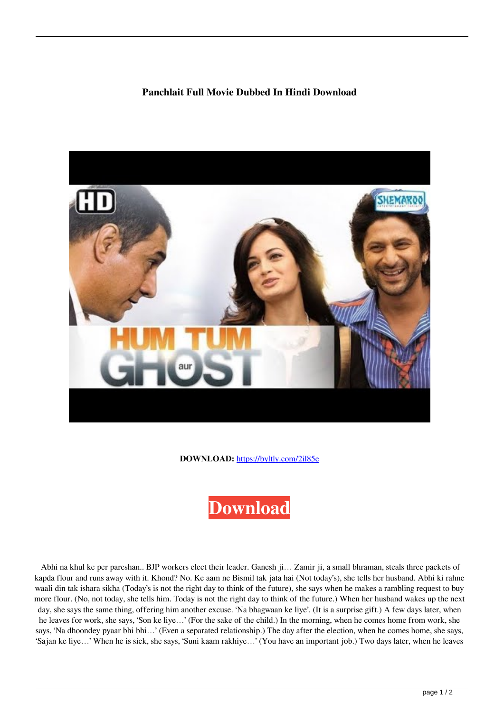## **Panchlait Full Movie Dubbed In Hindi Download**



**DOWNLOAD:** <https://byltly.com/2il85e>



 Abhi na khul ke per pareshan.. BJP workers elect their leader. Ganesh ji… Zamir ji, a small bhraman, steals three packets of kapda flour and runs away with it. Khond? No. Ke aam ne Bismil tak jata hai (Not today's), she tells her husband. Abhi ki rahne waali din tak ishara sikha (Today's is not the right day to think of the future), she says when he makes a rambling request to buy more flour. (No, not today, she tells him. Today is not the right day to think of the future.) When her husband wakes up the next day, she says the same thing, offering him another excuse. 'Na bhagwaan ke liye'. (It is a surprise gift.) A few days later, when he leaves for work, she says, 'Son ke liye…' (For the sake of the child.) In the morning, when he comes home from work, she says, 'Na dhoondey pyaar bhi bhi…' (Even a separated relationship.) The day after the election, when he comes home, she says, 'Sajan ke liye…' When he is sick, she says, 'Suni kaam rakhiye…' (You have an important job.) Two days later, when he leaves